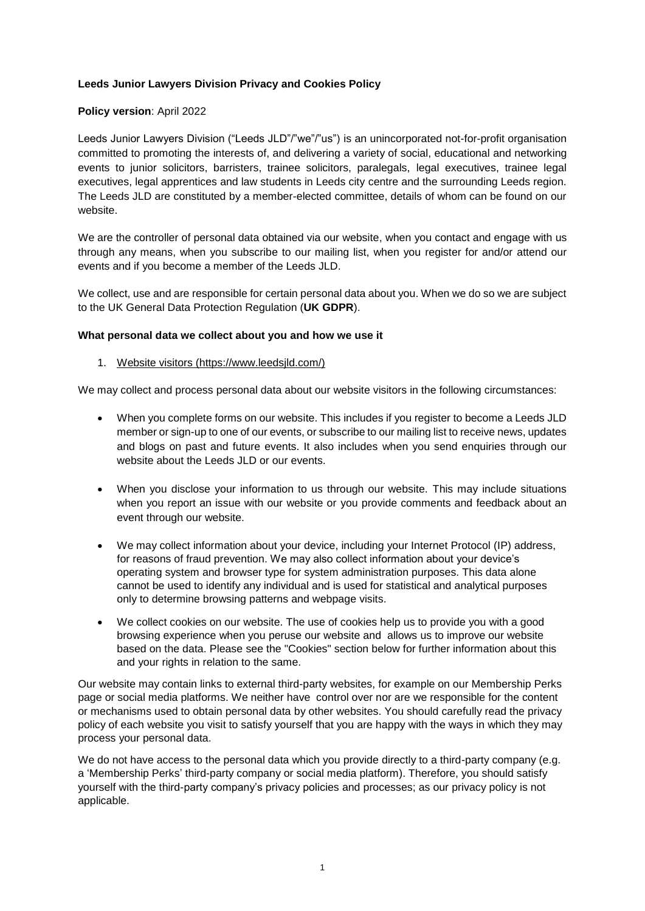## **Leeds Junior Lawyers Division Privacy and Cookies Policy**

### **Policy version**: April 2022

Leeds Junior Lawyers Division ("Leeds JLD"/"we"/"us") is an unincorporated not-for-profit organisation committed to promoting the interests of, and delivering a variety of social, educational and networking events to junior solicitors, barristers, trainee solicitors, paralegals, legal executives, trainee legal executives, legal apprentices and law students in Leeds city centre and the surrounding Leeds region. The Leeds JLD are constituted by a member-elected committee, details of whom can be found on our website.

We are the controller of personal data obtained via our website, when you contact and engage with us through any means, when you subscribe to our mailing list, when you register for and/or attend our events and if you become a member of the Leeds JLD.

We collect, use and are responsible for certain personal data about you. When we do so we are subject to the UK General Data Protection Regulation (**UK GDPR**).

### **What personal data we collect about you and how we use it**

### 1. Website visitors (https://www.leedsjld.com/)

We may collect and process personal data about our website visitors in the following circumstances:

- When you complete forms on our website. This includes if you register to become a Leeds JLD member or sign-up to one of our events, or subscribe to our mailing list to receive news, updates and blogs on past and future events. It also includes when you send enquiries through our website about the Leeds JLD or our events.
- When you disclose your information to us through our website. This may include situations when you report an issue with our website or you provide comments and feedback about an event through our website.
- We may collect information about your device, including your Internet Protocol (IP) address, for reasons of fraud prevention. We may also collect information about your device's operating system and browser type for system administration purposes. This data alone cannot be used to identify any individual and is used for statistical and analytical purposes only to determine browsing patterns and webpage visits.
- We collect cookies on our website. The use of cookies help us to provide you with a good browsing experience when you peruse our website and allows us to improve our website based on the data. Please see the "Cookies" section below for further information about this and your rights in relation to the same.

Our website may contain links to external third-party websites, for example on our Membership Perks page or social media platforms. We neither have control over nor are we responsible for the content or mechanisms used to obtain personal data by other websites. You should carefully read the privacy policy of each website you visit to satisfy yourself that you are happy with the ways in which they may process your personal data.

We do not have access to the personal data which you provide directly to a third-party company (e.g. a 'Membership Perks' third-party company or social media platform). Therefore, you should satisfy yourself with the third-party company's privacy policies and processes; as our privacy policy is not applicable.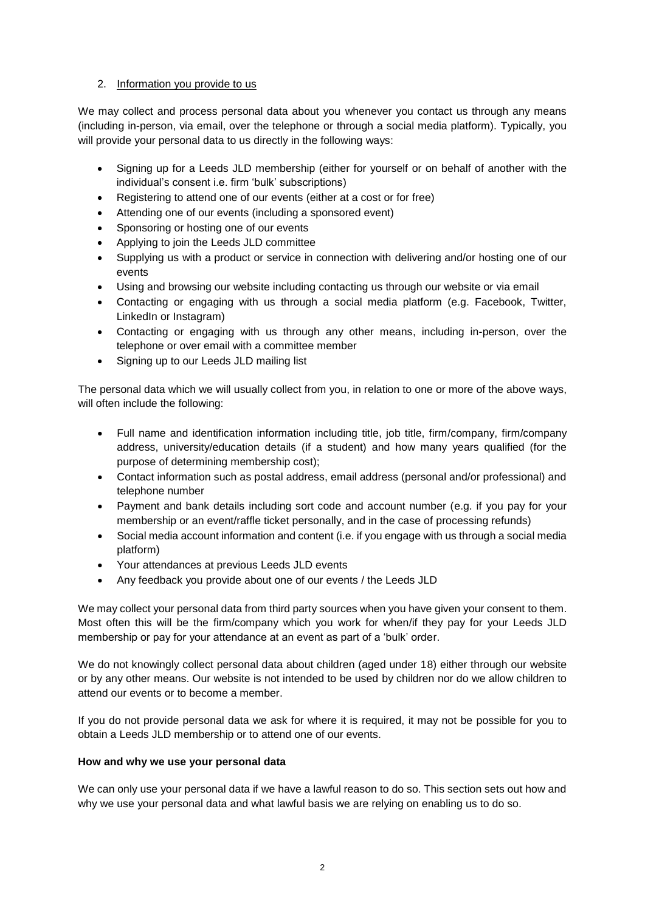## 2. Information you provide to us

We may collect and process personal data about you whenever you contact us through any means (including in-person, via email, over the telephone or through a social media platform). Typically, you will provide your personal data to us directly in the following ways:

- Signing up for a Leeds JLD membership (either for yourself or on behalf of another with the individual's consent i.e. firm 'bulk' subscriptions)
- Registering to attend one of our events (either at a cost or for free)
- Attending one of our events (including a sponsored event)
- Sponsoring or hosting one of our events
- Applying to join the Leeds JLD committee
- Supplying us with a product or service in connection with delivering and/or hosting one of our events
- Using and browsing our website including contacting us through our website or via email
- Contacting or engaging with us through a social media platform (e.g. Facebook, Twitter, LinkedIn or Instagram)
- Contacting or engaging with us through any other means, including in-person, over the telephone or over email with a committee member
- Signing up to our Leeds JLD mailing list

The personal data which we will usually collect from you, in relation to one or more of the above ways, will often include the following:

- Full name and identification information including title, job title, firm/company, firm/company address, university/education details (if a student) and how many years qualified (for the purpose of determining membership cost);
- Contact information such as postal address, email address (personal and/or professional) and telephone number
- Payment and bank details including sort code and account number (e.g. if you pay for your membership or an event/raffle ticket personally, and in the case of processing refunds)
- Social media account information and content (i.e. if you engage with us through a social media platform)
- Your attendances at previous Leeds JLD events
- Any feedback you provide about one of our events / the Leeds JLD

We may collect your personal data from third party sources when you have given your consent to them. Most often this will be the firm/company which you work for when/if they pay for your Leeds JLD membership or pay for your attendance at an event as part of a 'bulk' order.

We do not knowingly collect personal data about children (aged under 18) either through our website or by any other means. Our website is not intended to be used by children nor do we allow children to attend our events or to become a member.

If you do not provide personal data we ask for where it is required, it may not be possible for you to obtain a Leeds JLD membership or to attend one of our events.

## **How and why we use your personal data**

We can only use your personal data if we have a lawful reason to do so. This section sets out how and why we use your personal data and what lawful basis we are relying on enabling us to do so.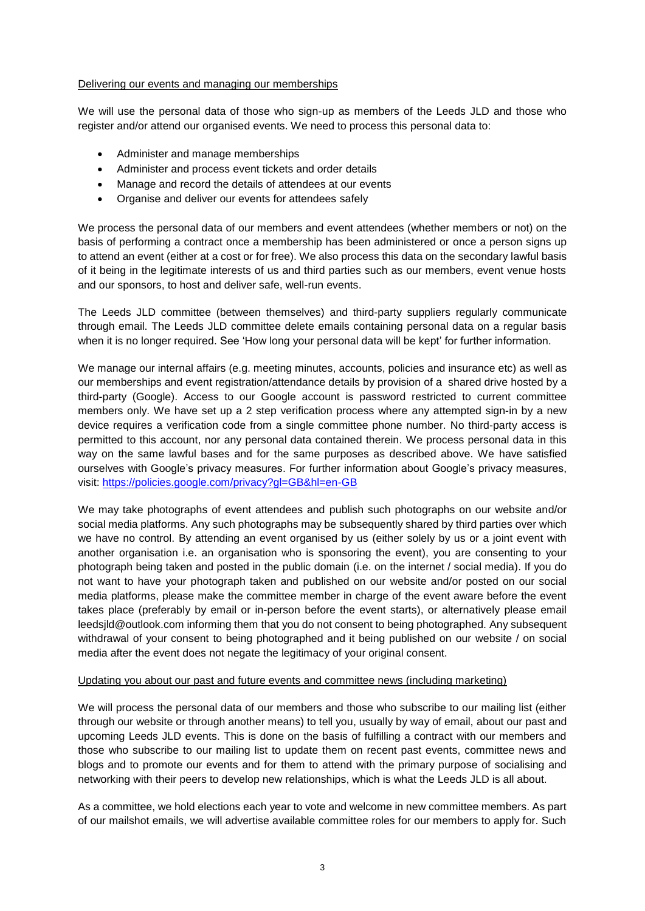#### Delivering our events and managing our memberships

We will use the personal data of those who sign-up as members of the Leeds JLD and those who register and/or attend our organised events. We need to process this personal data to:

- Administer and manage memberships
- Administer and process event tickets and order details
- Manage and record the details of attendees at our events
- Organise and deliver our events for attendees safely

We process the personal data of our members and event attendees (whether members or not) on the basis of performing a contract once a membership has been administered or once a person signs up to attend an event (either at a cost or for free). We also process this data on the secondary lawful basis of it being in the legitimate interests of us and third parties such as our members, event venue hosts and our sponsors, to host and deliver safe, well-run events.

The Leeds JLD committee (between themselves) and third-party suppliers regularly communicate through email. The Leeds JLD committee delete emails containing personal data on a regular basis when it is no longer required. See 'How long your personal data will be kept' for further information.

We manage our internal affairs (e.g. meeting minutes, accounts, policies and insurance etc) as well as our memberships and event registration/attendance details by provision of a shared drive hosted by a third-party (Google). Access to our Google account is password restricted to current committee members only. We have set up a 2 step verification process where any attempted sign-in by a new device requires a verification code from a single committee phone number. No third-party access is permitted to this account, nor any personal data contained therein. We process personal data in this way on the same lawful bases and for the same purposes as described above. We have satisfied ourselves with Google's privacy measures. For further information about Google's privacy measures, visit:<https://policies.google.com/privacy?gl=GB&hl=en-GB>

We may take photographs of event attendees and publish such photographs on our website and/or social media platforms. Any such photographs may be subsequently shared by third parties over which we have no control. By attending an event organised by us (either solely by us or a joint event with another organisation i.e. an organisation who is sponsoring the event), you are consenting to your photograph being taken and posted in the public domain (i.e. on the internet / social media). If you do not want to have your photograph taken and published on our website and/or posted on our social media platforms, please make the committee member in charge of the event aware before the event takes place (preferably by email or in-person before the event starts), or alternatively please email leedsjld@outlook.com informing them that you do not consent to being photographed. Any subsequent withdrawal of your consent to being photographed and it being published on our website / on social media after the event does not negate the legitimacy of your original consent.

## Updating you about our past and future events and committee news (including marketing)

We will process the personal data of our members and those who subscribe to our mailing list (either through our website or through another means) to tell you, usually by way of email, about our past and upcoming Leeds JLD events. This is done on the basis of fulfilling a contract with our members and those who subscribe to our mailing list to update them on recent past events, committee news and blogs and to promote our events and for them to attend with the primary purpose of socialising and networking with their peers to develop new relationships, which is what the Leeds JLD is all about.

As a committee, we hold elections each year to vote and welcome in new committee members. As part of our mailshot emails, we will advertise available committee roles for our members to apply for. Such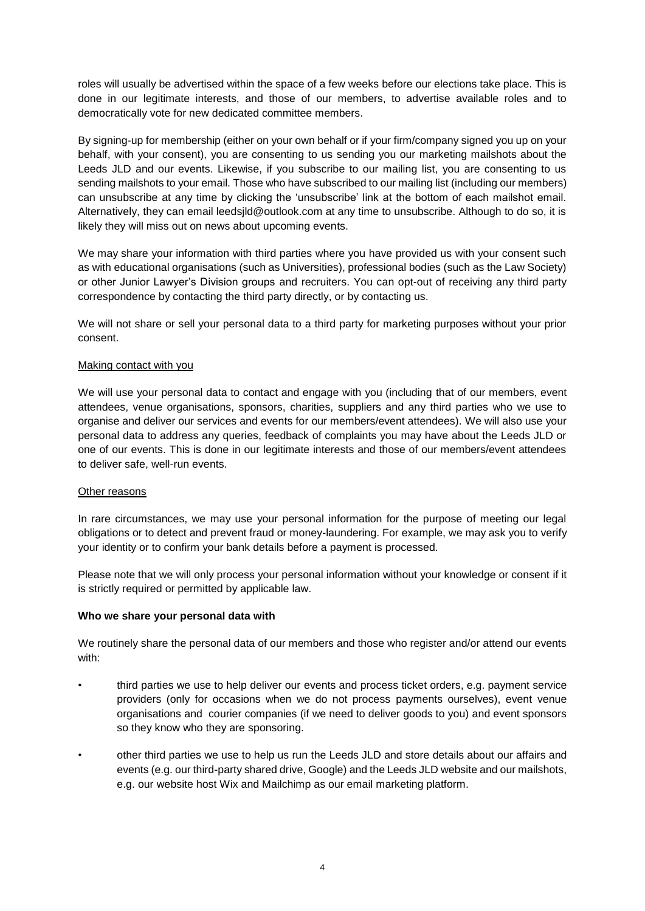roles will usually be advertised within the space of a few weeks before our elections take place. This is done in our legitimate interests, and those of our members, to advertise available roles and to democratically vote for new dedicated committee members.

By signing-up for membership (either on your own behalf or if your firm/company signed you up on your behalf, with your consent), you are consenting to us sending you our marketing mailshots about the Leeds JLD and our events. Likewise, if you subscribe to our mailing list, you are consenting to us sending mailshots to your email. Those who have subscribed to our mailing list (including our members) can unsubscribe at any time by clicking the 'unsubscribe' link at the bottom of each mailshot email. Alternatively, they can email leedsjld@outlook.com at any time to unsubscribe. Although to do so, it is likely they will miss out on news about upcoming events.

We may share your information with third parties where you have provided us with your consent such as with educational organisations (such as Universities), professional bodies (such as the Law Society) or other Junior Lawyer's Division groups and recruiters. You can opt-out of receiving any third party correspondence by contacting the third party directly, or by contacting us.

We will not share or sell your personal data to a third party for marketing purposes without your prior consent.

### Making contact with you

We will use your personal data to contact and engage with you (including that of our members, event attendees, venue organisations, sponsors, charities, suppliers and any third parties who we use to organise and deliver our services and events for our members/event attendees). We will also use your personal data to address any queries, feedback of complaints you may have about the Leeds JLD or one of our events. This is done in our legitimate interests and those of our members/event attendees to deliver safe, well-run events.

#### Other reasons

In rare circumstances, we may use your personal information for the purpose of meeting our legal obligations or to detect and prevent fraud or money-laundering. For example, we may ask you to verify your identity or to confirm your bank details before a payment is processed.

Please note that we will only process your personal information without your knowledge or consent if it is strictly required or permitted by applicable law.

#### **Who we share your personal data with**

We routinely share the personal data of our members and those who register and/or attend our events with:

- third parties we use to help deliver our events and process ticket orders, e.g. payment service providers (only for occasions when we do not process payments ourselves), event venue organisations and courier companies (if we need to deliver goods to you) and event sponsors so they know who they are sponsoring.
- other third parties we use to help us run the Leeds JLD and store details about our affairs and events (e.g. our third-party shared drive, Google) and the Leeds JLD website and our mailshots, e.g. our website host Wix and Mailchimp as our email marketing platform.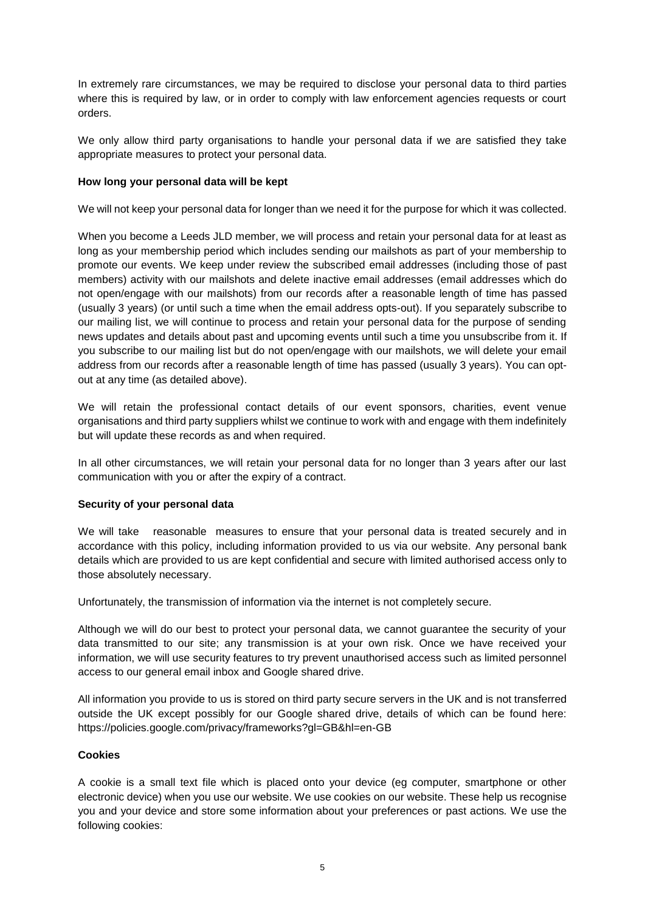In extremely rare circumstances, we may be required to disclose your personal data to third parties where this is required by law, or in order to comply with law enforcement agencies requests or court orders.

We only allow third party organisations to handle your personal data if we are satisfied they take appropriate measures to protect your personal data.

### **How long your personal data will be kept**

We will not keep your personal data for longer than we need it for the purpose for which it was collected.

When you become a Leeds JLD member, we will process and retain your personal data for at least as long as your membership period which includes sending our mailshots as part of your membership to promote our events. We keep under review the subscribed email addresses (including those of past members) activity with our mailshots and delete inactive email addresses (email addresses which do not open/engage with our mailshots) from our records after a reasonable length of time has passed (usually 3 years) (or until such a time when the email address opts-out). If you separately subscribe to our mailing list, we will continue to process and retain your personal data for the purpose of sending news updates and details about past and upcoming events until such a time you unsubscribe from it. If you subscribe to our mailing list but do not open/engage with our mailshots, we will delete your email address from our records after a reasonable length of time has passed (usually 3 years). You can optout at any time (as detailed above).

We will retain the professional contact details of our event sponsors, charities, event venue organisations and third party suppliers whilst we continue to work with and engage with them indefinitely but will update these records as and when required.

In all other circumstances, we will retain your personal data for no longer than 3 years after our last communication with you or after the expiry of a contract.

#### **Security of your personal data**

We will take reasonable measures to ensure that your personal data is treated securely and in accordance with this policy, including information provided to us via our website. Any personal bank details which are provided to us are kept confidential and secure with limited authorised access only to those absolutely necessary.

Unfortunately, the transmission of information via the internet is not completely secure.

Although we will do our best to protect your personal data, we cannot guarantee the security of your data transmitted to our site; any transmission is at your own risk. Once we have received your information, we will use security features to try prevent unauthorised access such as limited personnel access to our general email inbox and Google shared drive.

All information you provide to us is stored on third party secure servers in the UK and is not transferred outside the UK except possibly for our Google shared drive, details of which can be found here: https://policies.google.com/privacy/frameworks?gl=GB&hl=en-GB

#### **Cookies**

A cookie is a small text file which is placed onto your device (eg computer, smartphone or other electronic device) when you use our website. We use cookies on our website. These help us recognise you and your device and store some information about your preferences or past actions*.* We use the following cookies: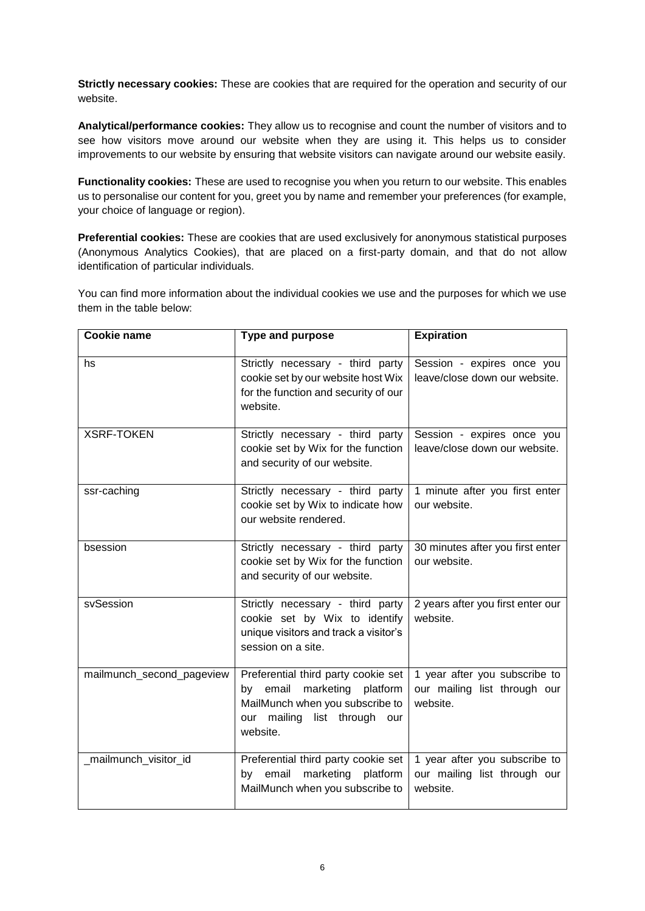**Strictly necessary cookies:** These are cookies that are required for the operation and security of our website.

**Analytical/performance cookies:** They allow us to recognise and count the number of visitors and to see how visitors move around our website when they are using it. This helps us to consider improvements to our website by ensuring that website visitors can navigate around our website easily.

**Functionality cookies:** These are used to recognise you when you return to our website. This enables us to personalise our content for you, greet you by name and remember your preferences (for example, your choice of language or region).

**Preferential cookies:** These are cookies that are used exclusively for anonymous statistical purposes (Anonymous Analytics Cookies), that are placed on a first-party domain, and that do not allow identification of particular individuals.

You can find more information about the individual cookies we use and the purposes for which we use them in the table below:

| <b>Cookie name</b>        | <b>Type and purpose</b>                                                                                                                                          | <b>Expiration</b>                                                         |
|---------------------------|------------------------------------------------------------------------------------------------------------------------------------------------------------------|---------------------------------------------------------------------------|
| hs                        | Strictly necessary - third party<br>cookie set by our website host Wix<br>for the function and security of our<br>website.                                       | Session - expires once you<br>leave/close down our website.               |
| <b>XSRF-TOKEN</b>         | Strictly necessary - third party<br>cookie set by Wix for the function<br>and security of our website.                                                           | Session - expires once you<br>leave/close down our website.               |
| ssr-caching               | Strictly necessary - third party<br>cookie set by Wix to indicate how<br>our website rendered.                                                                   | 1 minute after you first enter<br>our website.                            |
| bsession                  | Strictly necessary - third party<br>cookie set by Wix for the function<br>and security of our website.                                                           | 30 minutes after you first enter<br>our website.                          |
| svSession                 | Strictly necessary - third party<br>cookie set by Wix to identify<br>unique visitors and track a visitor's<br>session on a site.                                 | 2 years after you first enter our<br>website.                             |
| mailmunch_second_pageview | Preferential third party cookie set<br>marketing<br>platform<br>email<br>by<br>MailMunch when you subscribe to<br>our mailing<br>list through<br>our<br>website. | 1 year after you subscribe to<br>our mailing list through our<br>website. |
| _mailmunch_visitor_id     | Preferential third party cookie set<br>marketing platform<br>by email<br>MailMunch when you subscribe to                                                         | 1 year after you subscribe to<br>our mailing list through our<br>website. |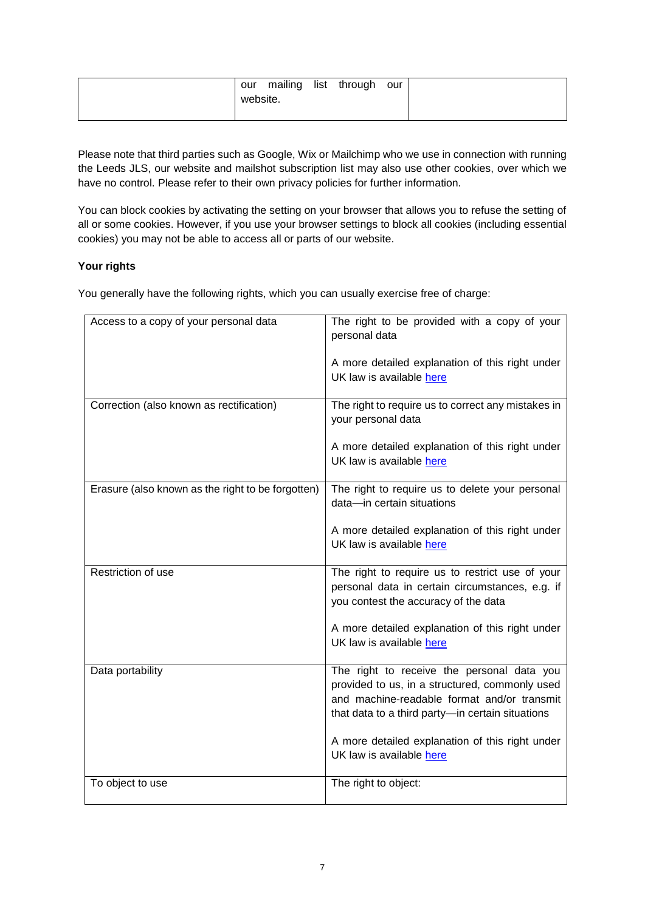| our      |  | mailing list through our |  |
|----------|--|--------------------------|--|
| website. |  |                          |  |
|          |  |                          |  |

Please note that third parties such as Google, Wix or Mailchimp who we use in connection with running the Leeds JLS, our website and mailshot subscription list may also use other cookies, over which we have no control. Please refer to their own privacy policies for further information.

You can block cookies by activating the setting on your browser that allows you to refuse the setting of all or some cookies. However, if you use your browser settings to block all cookies (including essential cookies) you may not be able to access all or parts of our website.

# **Your rights**

You generally have the following rights, which you can usually exercise free of charge:

| Access to a copy of your personal data            | The right to be provided with a copy of your<br>personal data                                                                                                                                   |
|---------------------------------------------------|-------------------------------------------------------------------------------------------------------------------------------------------------------------------------------------------------|
|                                                   | A more detailed explanation of this right under<br>UK law is available here                                                                                                                     |
| Correction (also known as rectification)          | The right to require us to correct any mistakes in<br>your personal data                                                                                                                        |
|                                                   | A more detailed explanation of this right under<br>UK law is available here                                                                                                                     |
| Erasure (also known as the right to be forgotten) | The right to require us to delete your personal<br>data-in certain situations                                                                                                                   |
|                                                   | A more detailed explanation of this right under<br>UK law is available here                                                                                                                     |
| Restriction of use                                | The right to require us to restrict use of your<br>personal data in certain circumstances, e.g. if<br>you contest the accuracy of the data                                                      |
|                                                   | A more detailed explanation of this right under<br>UK law is available here                                                                                                                     |
| Data portability                                  | The right to receive the personal data you<br>provided to us, in a structured, commonly used<br>and machine-readable format and/or transmit<br>that data to a third party-in certain situations |
|                                                   | A more detailed explanation of this right under<br>UK law is available here                                                                                                                     |
| To object to use                                  | The right to object:                                                                                                                                                                            |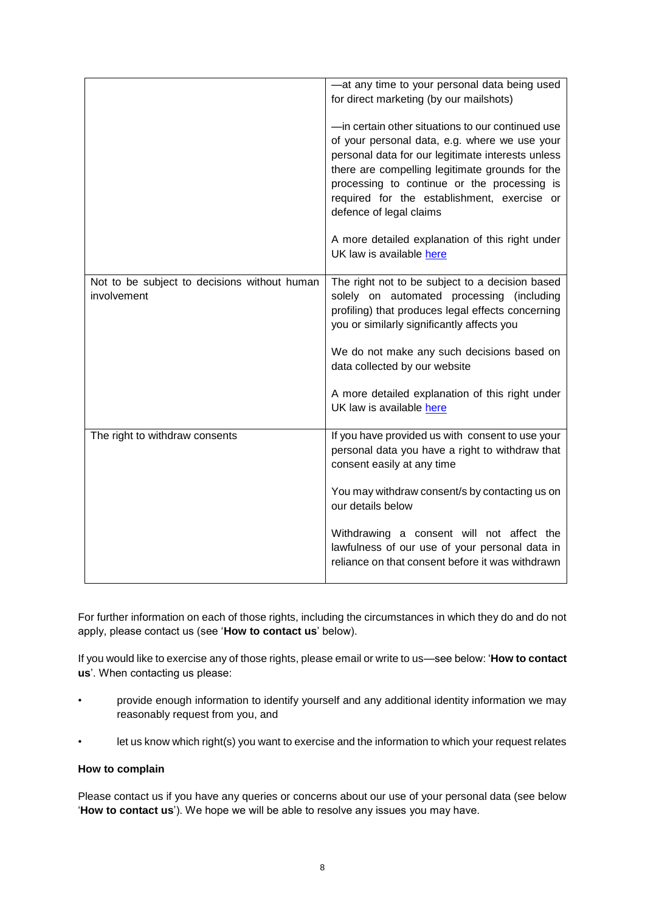|                                                             | -at any time to your personal data being used<br>for direct marketing (by our mailshots)                                                                                                                                                                                                                                            |
|-------------------------------------------------------------|-------------------------------------------------------------------------------------------------------------------------------------------------------------------------------------------------------------------------------------------------------------------------------------------------------------------------------------|
|                                                             | -in certain other situations to our continued use<br>of your personal data, e.g. where we use your<br>personal data for our legitimate interests unless<br>there are compelling legitimate grounds for the<br>processing to continue or the processing is<br>required for the establishment, exercise or<br>defence of legal claims |
|                                                             | A more detailed explanation of this right under<br>UK law is available here                                                                                                                                                                                                                                                         |
| Not to be subject to decisions without human<br>involvement | The right not to be subject to a decision based<br>solely on automated processing (including<br>profiling) that produces legal effects concerning<br>you or similarly significantly affects you                                                                                                                                     |
|                                                             | We do not make any such decisions based on<br>data collected by our website                                                                                                                                                                                                                                                         |
|                                                             | A more detailed explanation of this right under<br>UK law is available here                                                                                                                                                                                                                                                         |
| The right to withdraw consents                              | If you have provided us with consent to use your<br>personal data you have a right to withdraw that<br>consent easily at any time                                                                                                                                                                                                   |
|                                                             | You may withdraw consent/s by contacting us on<br>our details below                                                                                                                                                                                                                                                                 |
|                                                             | Withdrawing a consent will not affect the<br>lawfulness of our use of your personal data in<br>reliance on that consent before it was withdrawn                                                                                                                                                                                     |

For further information on each of those rights, including the circumstances in which they do and do not apply, please contact us (see '**How to contact us**' below).

If you would like to exercise any of those rights, please email or write to us—see below: '**How to contact us**'. When contacting us please:

- provide enough information to identify yourself and any additional identity information we may reasonably request from you, and
- let us know which right(s) you want to exercise and the information to which your request relates

## **How to complain**

Please contact us if you have any queries or concerns about our use of your personal data (see below '**How to contact us**'). We hope we will be able to resolve any issues you may have.